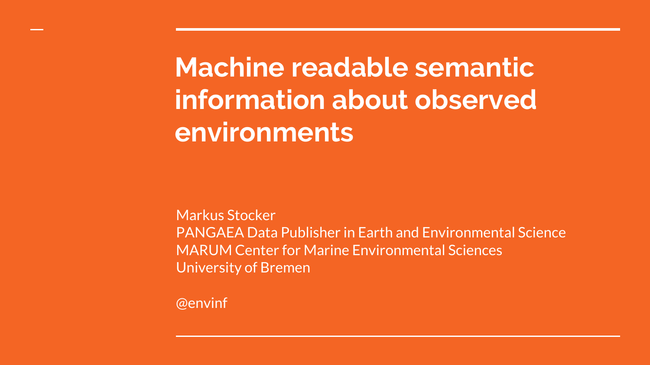**Machine readable semantic information about observed environments**

Markus Stocker PANGAEA Data Publisher in Earth and Environmental Science MARUM Center for Marine Environmental Sciences University of Bremen

@envinf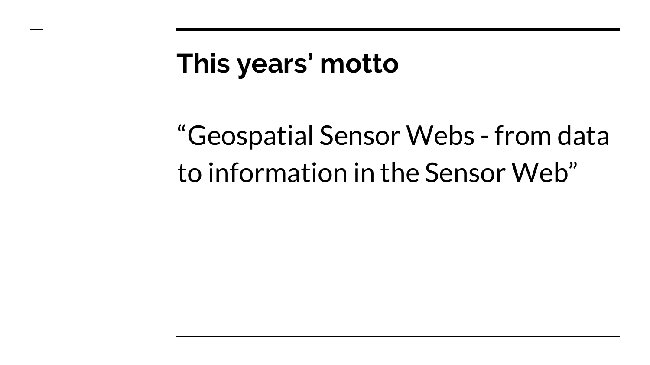#### **This years' motto**

## "Geospatial Sensor Webs - from data to information in the Sensor Web"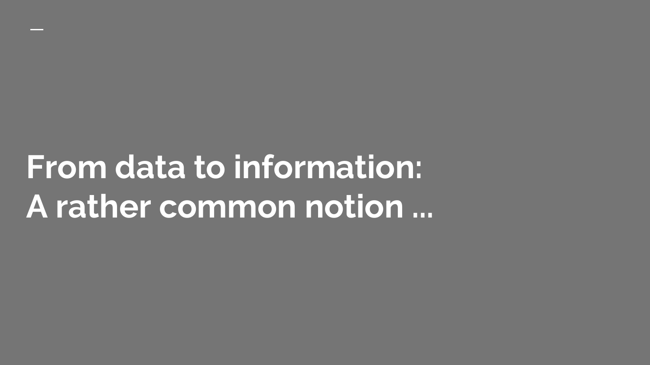## **From data to information: A rather common notion ...**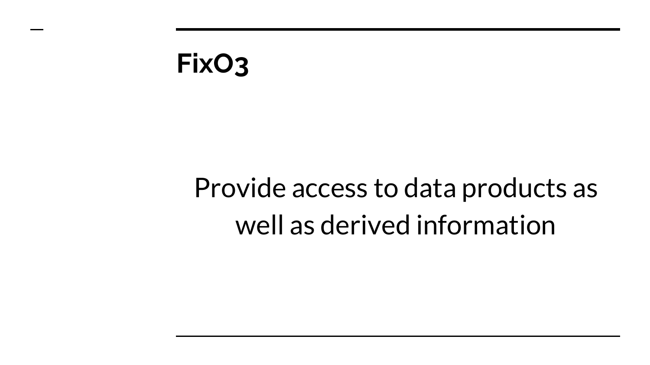#### **FixO3**

## Provide access to data products as well as derived information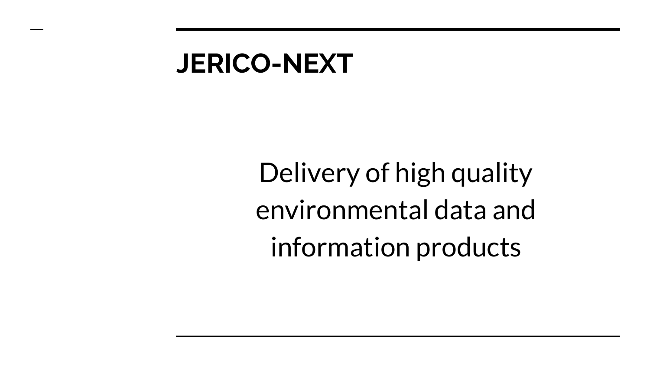#### **JERICO-NEXT**

Delivery of high quality environmental data and information products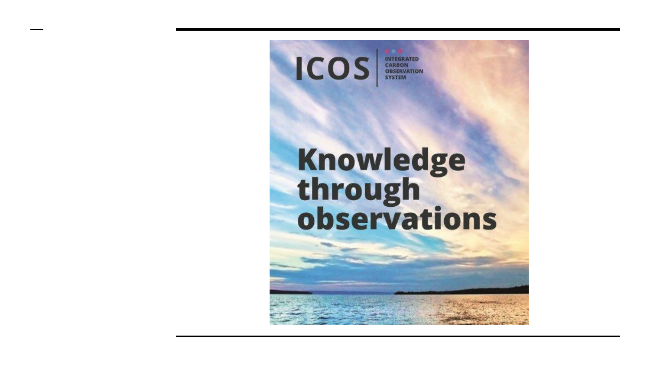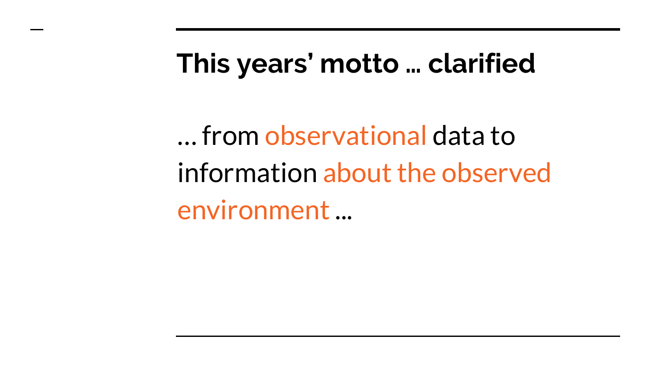**This years' motto … clarified**

… from observational data to information about the observed environment ...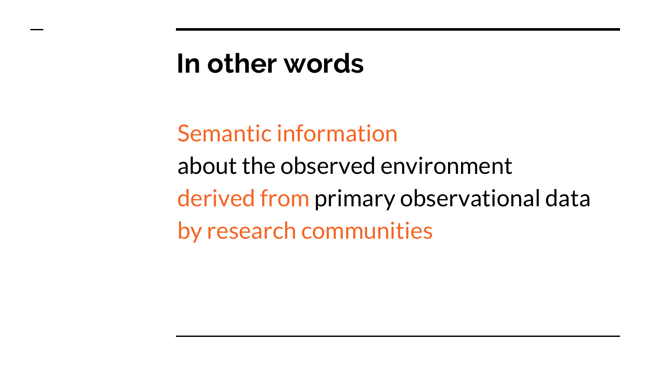#### **In other words**

#### Semantic information about the observed environment derived from primary observational data by research communities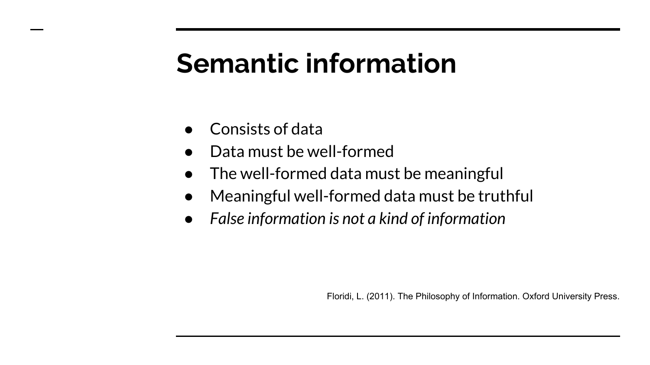#### **Semantic information**

- Consists of data
- Data must be well-formed
- The well-formed data must be meaningful
- Meaningful well-formed data must be truthful
- *● False information is not a kind of information*

Floridi, L. (2011). The Philosophy of Information. Oxford University Press.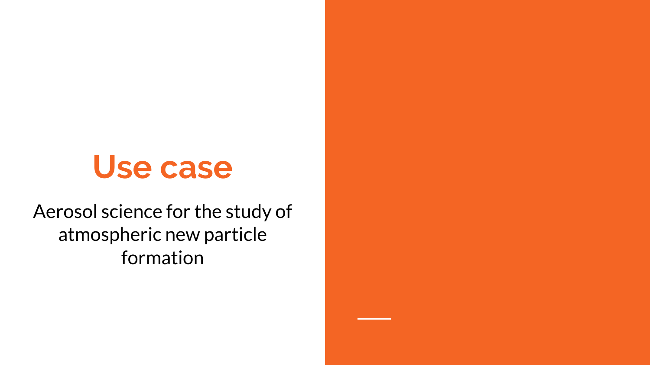#### **Use case**

#### Aerosol science for the study of atmospheric new particle formation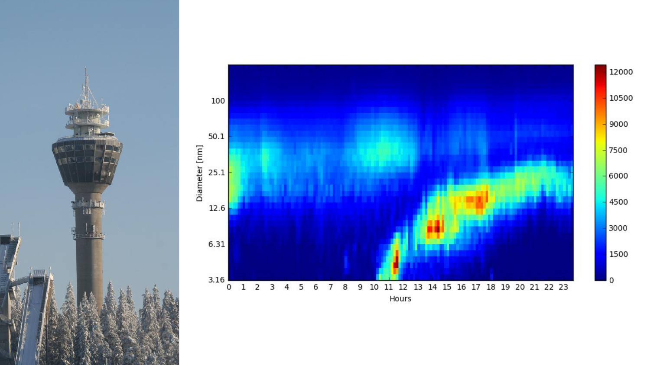

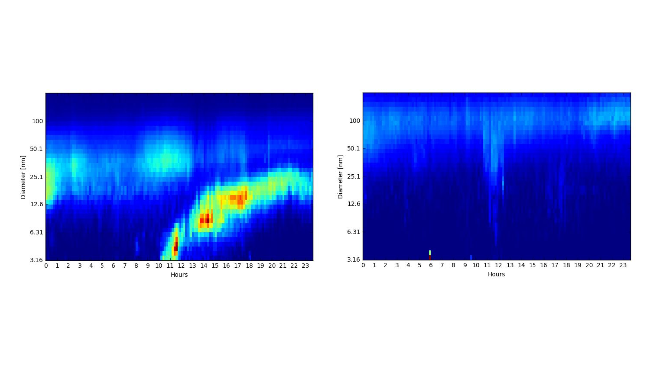

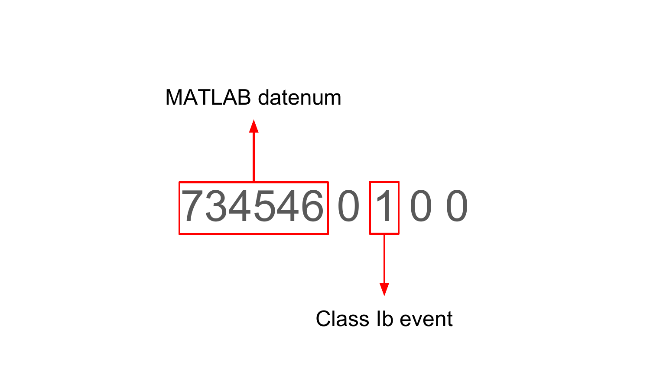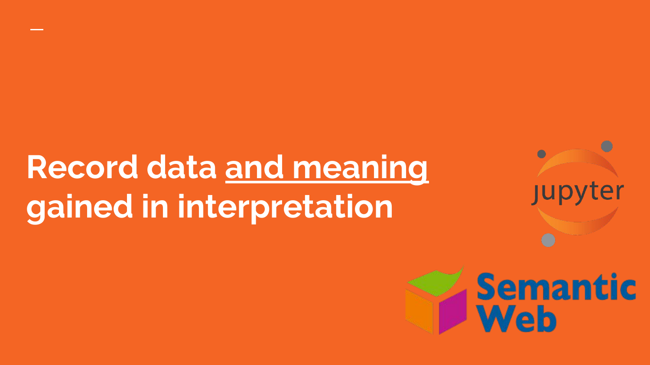# **Record data and meaning gained in interpretation**



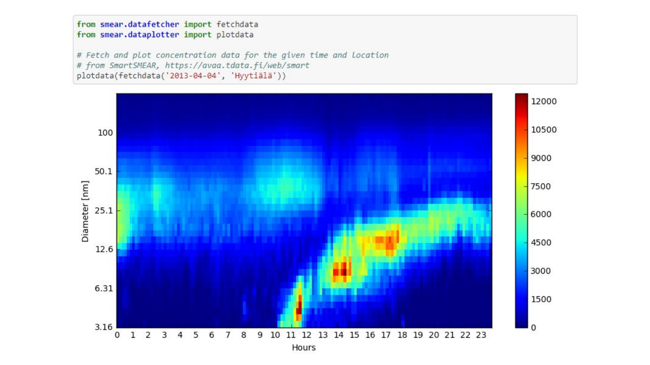#### from smear.datafetcher import fetchdata from smear.dataplotter import plotdata

# Fetch and plot concentration data for the given time and location # from SmartSMEAR, https://avaa.tdata.fi/web/smart plotdata(fetchdata('2013-04-04', 'Hyytiälä'))

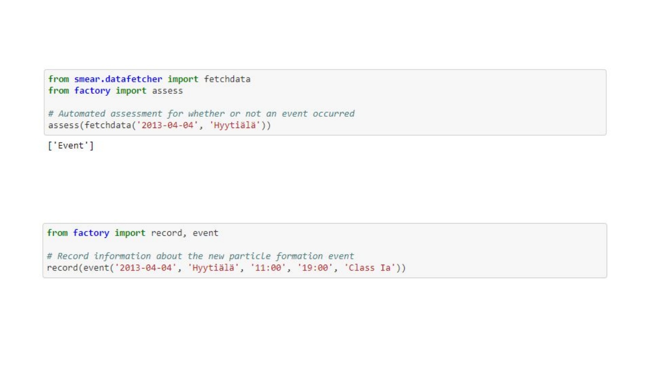```
from smear.datafetcher import fetchdata
from factory import assess
```

```
# Automated assessment for whether or not an event occurred
assess(fetchdata('2013-04-04', 'Hyytiälä'))
```
 $['Event']$ 

from factory import record, event

```
# Record information about the new particle formation event
record(event('2013-04-04', 'Hyytiälä', '11:00', '19:00', 'Class Ia'))
```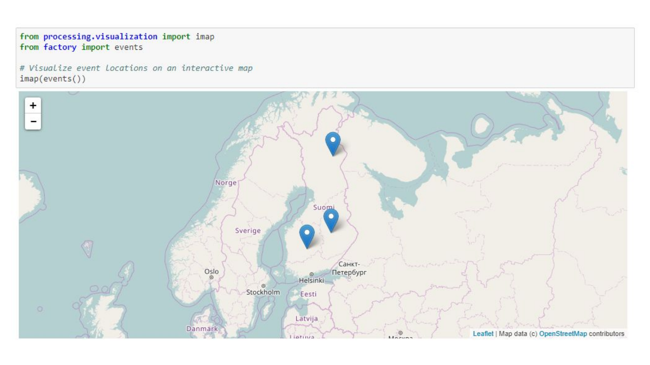from processing.visualization import imap from factory import events

# Visualize event locations on an interactive map  $\text{imap}(events())$ 

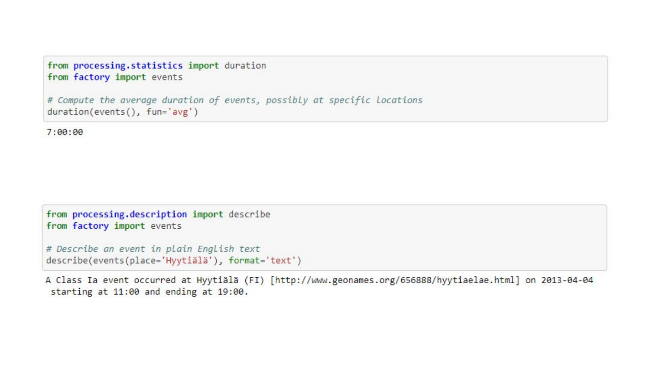```
from processing.statistics import duration
from factory import events
```
# Compute the average duration of events, possibly at specific locations duration(events(), fun='avg')

 $7:00:00$ 

```
from processing.description import describe
from factory import events
```

```
# Describe an event in plain English text
describe(events(place='Hyytiälä'), format='text')
```
A Class Ia event occurred at Hyytiälä (FI) [http://www.geonames.org/656888/hyytiaelae.html] on 2013-04-04 starting at 11:00 and ending at 19:00.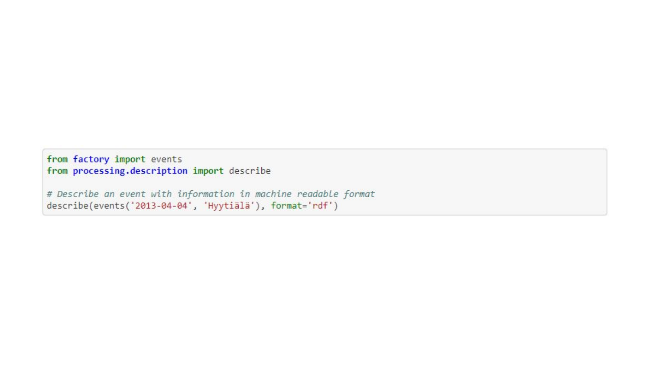from factory import events from processing.description import describe

# Describe an event with information in machine readable format describe(events('2013-04-04', 'Hyytiälä'), format='rdf')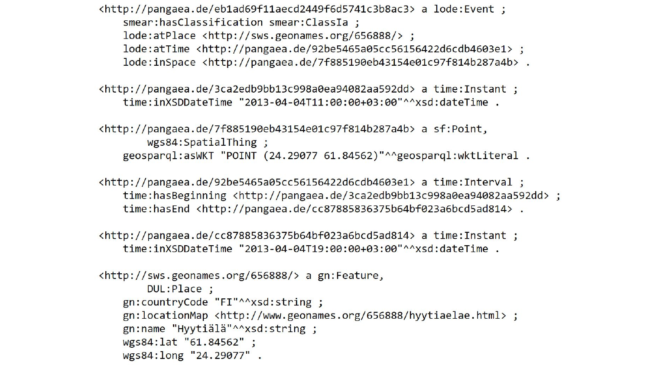<http://pangaea.de/eb1ad69f11aecd2449f6d5741c3b8ac3> a lode:Event ; smear:hasClassification smear:ClassIa ; lode:atPlace <http://sws.geonames.org/656888/>; lode:atTime <http://pangaea.de/92be5465a05cc56156422d6cdb4603e1> ; lode:inSpace <http://pangaea.de/7f885190eb43154e01c97f814b287a4b>.

<http://pangaea.de/3ca2edb9bb13c998a0ea94082aa592dd> a time:Instant ; time:inXSDDateTime "2013-04-04T11:00:00+03:00"^^xsd:dateTime.

<http://pangaea.de/7f885190eb43154e01c97f814b287a4b> a sf:Point, wgs84:SpatialThing; geosparql:asWKT "POINT (24.29077 61.84562)"^^geosparql:wktLiteral .

<http://pangaea.de/92be5465a05cc56156422d6cdb4603e1> a time:Interval ; time:hasBeginning <http://pangaea.de/3ca2edb9bb13c998a0ea94082aa592dd> ; time:hasEnd <http://pangaea.de/cc87885836375b64bf023a6bcd5ad814>.

<http://pangaea.de/cc87885836375b64bf023a6bcd5ad814> a time:Instant ; time:inXSDDateTime "2013-04-04T19:00:00+03:00"^^xsd:dateTime .

```
<http://sws.geonames.org/656888/> a gn:Feature,
       DUL:Place ;
   gn:countryCode "FI"^^xsd:string;
   gn:locationMap <http://www.geonames.org/656888/hyytiaelae.html> ;
   gn:name "Hyytiälä"^^xsd:string;
   wgs84:lat "61.84562";
   wgs84:long "24.29077".
```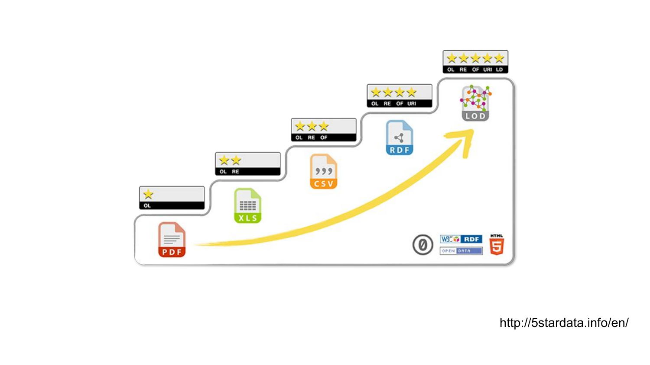

http://5stardata.info/en/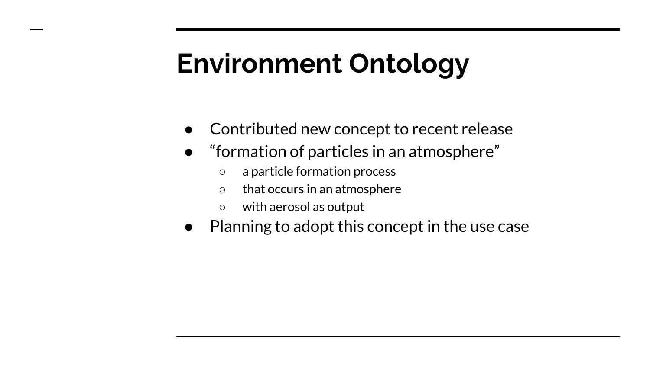#### **Environment Ontology**

- Contributed new concept to recent release
- "formation of particles in an atmosphere"
	- a particle formation process
	- that occurs in an atmosphere
	- with aerosol as output
- Planning to adopt this concept in the use case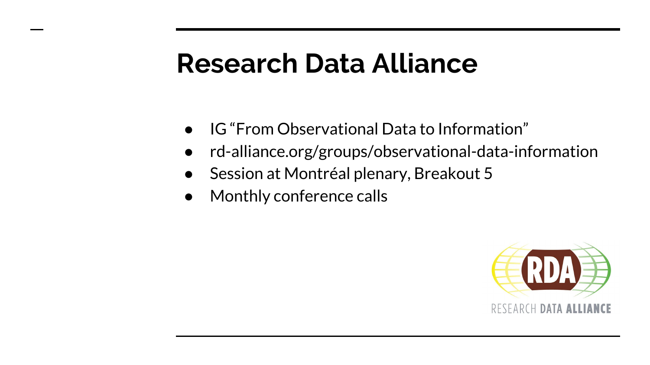#### **Research Data Alliance**

- IG "From Observational Data to Information"
- rd-alliance.org/groups/observational-data-information
- Session at Montréal plenary, Breakout 5
- Monthly conference calls